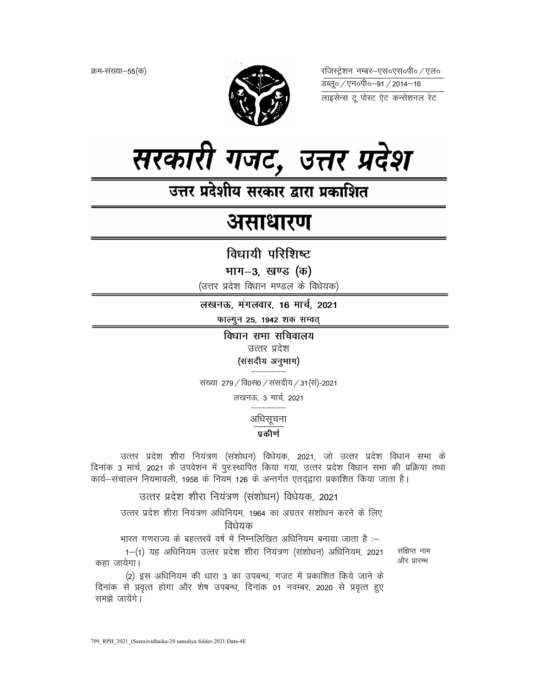क्रम-संख्या–55(क)



रजिस्ट्रेशन नम्बर–एस०एस०पी० ⁄ एल० 



उत्तर प्रदेशीय सरकार द्वारा प्रकाशित

# असाधारण

विधायी परिशिष्ट

भाग-3, खण्ड (क)

(उत्तर प्रदेश विधान मण्डल के विधेयक)

लखनऊ, मंगलवार, 16 मार्च, 2021 फाल्गुन 25, 1942 शक सम्वत्

विधान सभा सचिवालय

उत्तर प्रदेश (संसदीय अनुभाग)

संख्या 279 / वि0स0 / संसदीय / 31 (सं)-2021

लखनऊ, 3 मार्च, 2021

## अधिसूचना

प्रकीर्ण

उत्तर प्रदेश शीरा नियंत्रण (संशोधन) विधेयक, 2021, जो उत्तर प्रदेश विधान सभा के दिनांक 3 मार्च, 2021 के उपवेशन में पुरःस्थापित किया गया, उत्तर प्रदेश विधान सभा की प्रक्रिया तथा कार्य-संचालन नियमावली, 1958 के नियम 126 के अन्तर्गत एतदद्वारा प्रकाशित किया जाता है।

उत्तर प्रदेश शीरा नियंत्रण (संशोधन) विधेयक, 2021

उत्तर प्रदेश शीरा नियंत्रण अधिनियम, 1964 का अग्रतर संशोधन करने के लिए विधेयक

भारत गणराज्य के बहत्तरवें वर्ष में निम्नलिखित अधिनियम बनाया जाता है :-

1-(1) यह अधिनियम उत्तर प्रदेश शीरा नियंत्रण (संशोधन) अधिनियम, 2021 कहा जायेगा।

संक्षिप्त नाम और प्रारम्भ

(2) इस अधिनियम की धारा 3 का उपबन्ध, गजट में प्रकाशित किये जाने के दिनांक से प्रवृत्त होगा और शेष उपबन्ध, दिनांक 01 नवम्बर, 2020 से प्रवृत्त हुए समझे जायेंगे।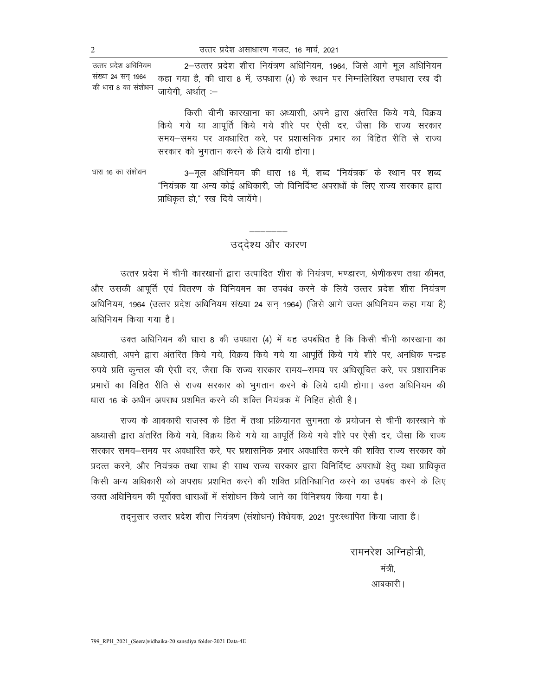2-उत्तर प्रदेश शीरा नियंत्रण अधिनियम, 1964, जिसे आगे मूल अधिनियम उत्तर प्रदेश अधिनियम संख्या 24 सन् 1964 कहा गया है, की धारा 8 में, उपधारा (4) के स्थान पर निम्नलिखित उपधारा रख दी की धारा 8 का संशोधन जायेगी, अर्थात् :—

> किसी चीनी कारखाना का अध्यासी, अपने द्वारा अंतरित किये गये, विक्रय किये गये या आपूर्ति किये गये शीरे पर ऐसी दर, जैसा कि राज्य सरकार समय-समय पर अवधारित करे, पर प्रशासनिक प्रभार का विहित रीति से राज्य सरकार को भुगतान करने के लिये दायी होगा।

धारा 16 का संशोधन 3-मूल अधिनियम की धारा 16 में, शब्द "नियंत्रक" के स्थान पर शब्द "नियंत्रक या अन्य कोई अधिकारी, जो विनिर्दिष्ट अपराधों के लिए राज्य सरकार द्वारा प्राधिकृत हो," रख दिये जायेंगे।

उददेश्य और कारण

उत्तर प्रदेश में चीनी कारखानों द्वारा उत्पादित शीरा के नियंत्रण, भण्डारण, श्रेणीकरण तथा कीमत, और उसकी आपूर्ति एवं वितरण के विनियमन का उपबंध करने के लिये उत्तर प्रदेश शीरा नियंत्रण अधिनियम, 1964 (उत्तर प्रदेश अधिनियम संख्या 24 सन् 1964) (जिसे आगे उक्त अधिनियम कहा गया है) अधिनियम किया गया है।

उक्त अधिनियम की धारा 8 की उपधारा (4) में यह उपबंधित है कि किसी चीनी कारखाना का अध्यासी, अपने द्वारा अंतरित किये गये, विक्रय किये गये या आपूर्ति किये गये शीरे पर, अनधिक पन्द्रह रुपये प्रति कुन्तल की ऐसी दर, जैसा कि राज्य सरकार समय-समय पर अधिसूचित करे, पर प्रशासनिक प्रभारों का विहित रीति से राज्य सरकार को भुगतान करने के लिये दायी होगा। उक्त अधिनियम की धारा 16 के अधीन अपराध प्रशमित करने की शक्ति नियंत्रक में निहित होती है।

राज्य के आबकारी राजस्व के हित में तथा प्रक्रियागत सुगमता के प्रयोजन से चीनी कारखाने के अध्यासी द्वारा अंतरित किये गये, विक्रय किये गये या आपूर्ति किये गये शीरे पर ऐसी दर, जैसा कि राज्य सरकार समय–समय पर अवधारित करे. पर प्रशासनिक प्रभार अवधारित करने की शक्ति राज्य सरकार को प्रदत्त करने, और नियंत्रक तथा साथ ही साथ राज्य सरकार द्वारा विनिर्दिष्ट अपराधों हेतु यथा प्राधिकृत किसी अन्य अधिकारी को अपराध प्रशमित करने की शक्ति प्रतिनिधानित करने का उपबंध करने के लिए उक्त अधिनियम की पूर्वोक्त धाराओं में संशोधन किये जाने का विनिश्चय किया गया है।

तद्नुसार उत्तर प्रदेश शीरा नियंत्रण (संशोधन) विधेयक, 2021 पुरःस्थापित किया जाता है।

रामनरेश अग्निहोत्री मंत्री आबकारी।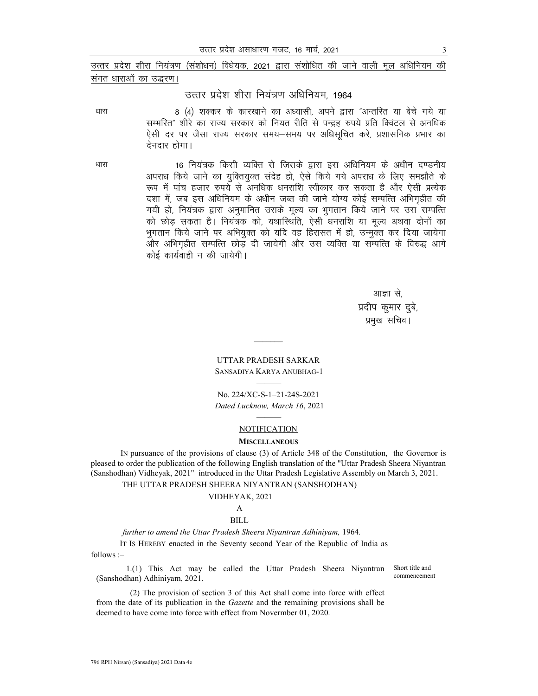उत्तर प्रदेश शीरा नियंत्रण (संशोधन) विधेयक. 2021 द्वारा संशोधित की जाने वाली मल अधिनियम की संगत धाराओं का उद्धरण।

## उत्तर प्रदेश शीरा नियंत्रण अधिनियम. 1964

8 (4) शक्कर के कारखाने का अध्यासी, अपने द्वारा "अन्तरित या बेचे गये या सम्भरित" शीरे का राज्य सरकार को नियत रीति से पन्द्रह रुपये प्रति क्विंटल से अनधिक ऐसी दर पर जैसा राज्य सरकार समय—समय पर अधिसूचित करे, प्रशासनिक प्रभार का देनदार होगा।

धारा

धारा

16 नियंत्रक किसी व्यक्ति से जिसके द्वारा इस अधिनियम के अधीन दण्डनीय अपराध किये जाने का युक्तियुक्त संदेह हो, ऐसे किये गये अपराध के लिए समझौते के रूप में पांच हजार रुपये से अनधिक धनराशि स्वीकार कर सकता है और ऐसी प्रत्येक दशा में, जब इस अधिनियम के अधीन जब्त की जाने योग्य कोई सम्पत्ति अभिगृहीत की गयी हो, नियंत्रक द्वारा अनुमानित उसके मूल्य का भुगतान किये जाने पर उस सम्पत्ति को छोड सकता है। नियंत्रक को, यथास्थिति, ऐसी धनराशि या मूल्य अथवा दोनों का भूगतान किये जाने पर अभियुक्त को यदि वह हिरासत में हो, उन्मुक्त कर दिया जायेगा और अभिगृहीत सम्पत्ति छोड दी जायेगी और उस व्यक्ति या सम्पत्ति के विरुद्ध आगे कोई कार्यवाही न की जायेगी।

> आज्ञा से. प्रदीप कुमार दुबे, प्रमख सचिव।

## **UTTAR PRADESH SARKAR** SANSADIYA KARYA ANUBHAG-1

No. 224/XC-S-1-21-24S-2021 Dated Lucknow, March 16, 2021

#### **NOTIFICATION**

#### **MISCELLANEOUS**

IN pursuance of the provisions of clause (3) of Article 348 of the Constitution, the Governor is pleased to order the publication of the following English translation of the "Uttar Pradesh Sheera Niyantran (Sanshodhan) Vidheyak, 2021" introduced in the Uttar Pradesh Legislative Assembly on March 3, 2021.

THE UTTAR PRADESH SHEERA NIYANTRAN (SANSHODHAN)

#### VIDHEYAK, 2021

#### $\mathsf{A}$ **BILL**

## further to amend the Uttar Pradesh Sheera Niyantran Adhiniyam, 1964.

IT Is HEREBY enacted in the Seventy second Year of the Republic of India as follows :-

1.(1) This Act may be called the Uttar Pradesh Sheera Niyantran (Sanshodhan) Adhiniyam, 2021.

Short title and commencement

(2) The provision of section 3 of this Act shall come into force with effect from the date of its publication in the *Gazette* and the remaining provisions shall be deemed to have come into force with effect from Novermber 01, 2020.